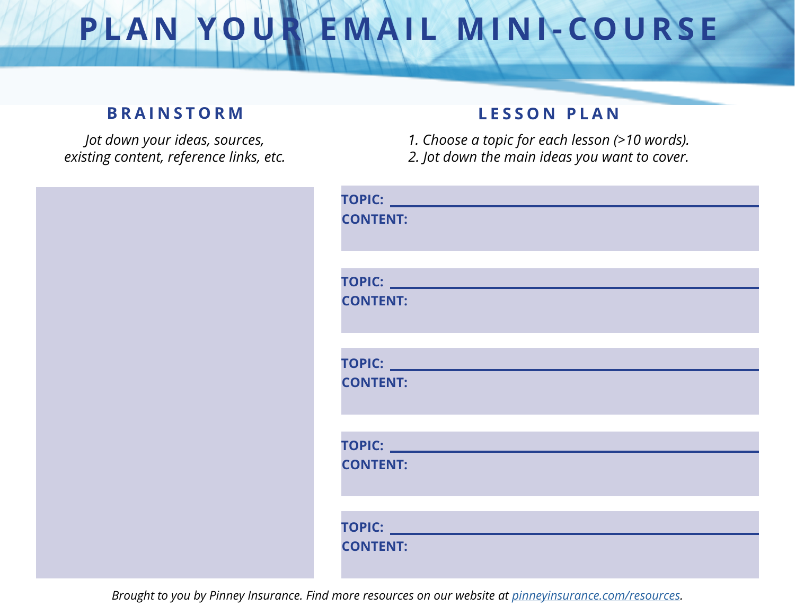#### **BRAINSTORM LESSON PLAN**

*Jot down your ideas, sources, existing content, reference links, etc.*

*1. Choose a topic for each lesson (>10 words). 2. Jot down the main ideas you want to cover.*

|  | <b>CONTENT:</b> |
|--|-----------------|
|  | <b>CONTENT:</b> |
|  | <b>CONTENT:</b> |
|  | <b>CONTENT:</b> |
|  | <b>CONTENT:</b> |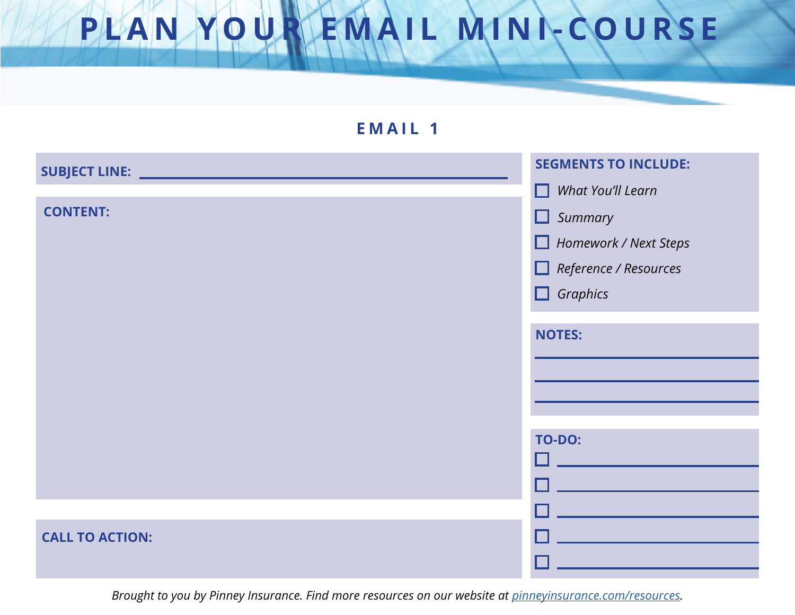| <b>EMAIL 1</b>         |                              |
|------------------------|------------------------------|
|                        | <b>SEGMENTS TO INCLUDE:</b>  |
|                        | $\Box$ What You'll Learn     |
| <b>CONTENT:</b>        | $\Box$ Summary               |
|                        | Homework / Next Steps        |
|                        | $\Box$ Reference / Resources |
|                        | $\Box$ Graphics              |
|                        |                              |
|                        | <b>NOTES:</b>                |
|                        |                              |
|                        |                              |
|                        |                              |
|                        | <b>TO-DO:</b>                |
|                        |                              |
|                        |                              |
|                        |                              |
| <b>CALL TO ACTION:</b> |                              |
|                        |                              |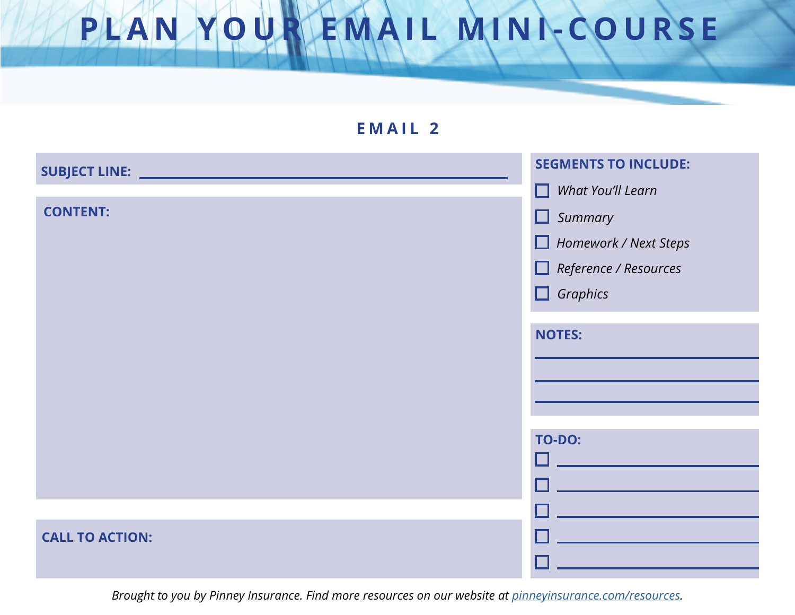| <b>EMAIL 2</b>               |                              |
|------------------------------|------------------------------|
| SUBJECT LINE: ______________ | <b>SEGMENTS TO INCLUDE:</b>  |
|                              | $\Box$ What You'll Learn     |
| <b>CONTENT:</b>              | $\Box$ Summary               |
|                              | Homework / Next Steps        |
|                              | $\Box$ Reference / Resources |
|                              | $\Box$ Graphics              |
|                              |                              |
|                              | <b>NOTES:</b>                |
|                              |                              |
|                              |                              |
|                              |                              |
|                              | <b>TO-DO:</b>                |
|                              |                              |
|                              |                              |
|                              |                              |
| <b>CALL TO ACTION:</b>       |                              |
|                              |                              |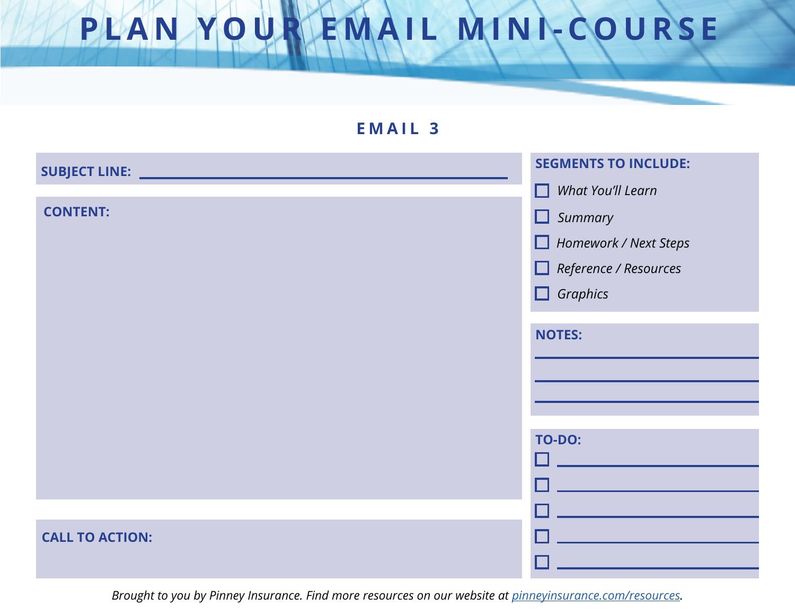| <b>EMAIL 3</b>         |                              |  |
|------------------------|------------------------------|--|
| SUBJECT LINE: ____     | <b>SEGMENTS TO INCLUDE:</b>  |  |
|                        | $\Box$ What You'll Learn     |  |
| <b>CONTENT:</b>        | $\Box$ Summary               |  |
|                        | Homework / Next Steps        |  |
|                        | $\Box$ Reference / Resources |  |
|                        | $\Box$ Graphics              |  |
|                        |                              |  |
|                        | <b>NOTES:</b>                |  |
|                        |                              |  |
|                        |                              |  |
|                        |                              |  |
|                        | <b>TO-DO:</b>                |  |
|                        |                              |  |
|                        |                              |  |
| <b>CALL TO ACTION:</b> |                              |  |
|                        |                              |  |
|                        |                              |  |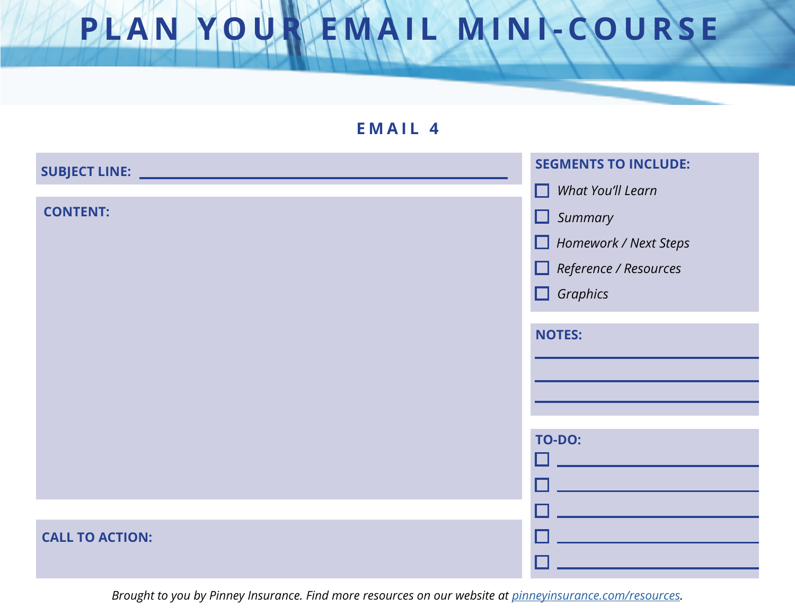| EMAIL 4                |                              |  |
|------------------------|------------------------------|--|
| SUBJECT LINE: ________ | <b>SEGMENTS TO INCLUDE:</b>  |  |
|                        | $\Box$ What You'll Learn     |  |
| <b>CONTENT:</b>        | $\Box$ Summary               |  |
|                        | Homework / Next Steps        |  |
|                        | $\Box$ Reference / Resources |  |
|                        | $\Box$ Graphics              |  |
|                        |                              |  |
|                        | <b>NOTES:</b>                |  |
|                        |                              |  |
|                        |                              |  |
|                        |                              |  |
|                        | <b>TO-DO:</b>                |  |
|                        |                              |  |
|                        |                              |  |
|                        |                              |  |
| <b>CALL TO ACTION:</b> |                              |  |
|                        |                              |  |